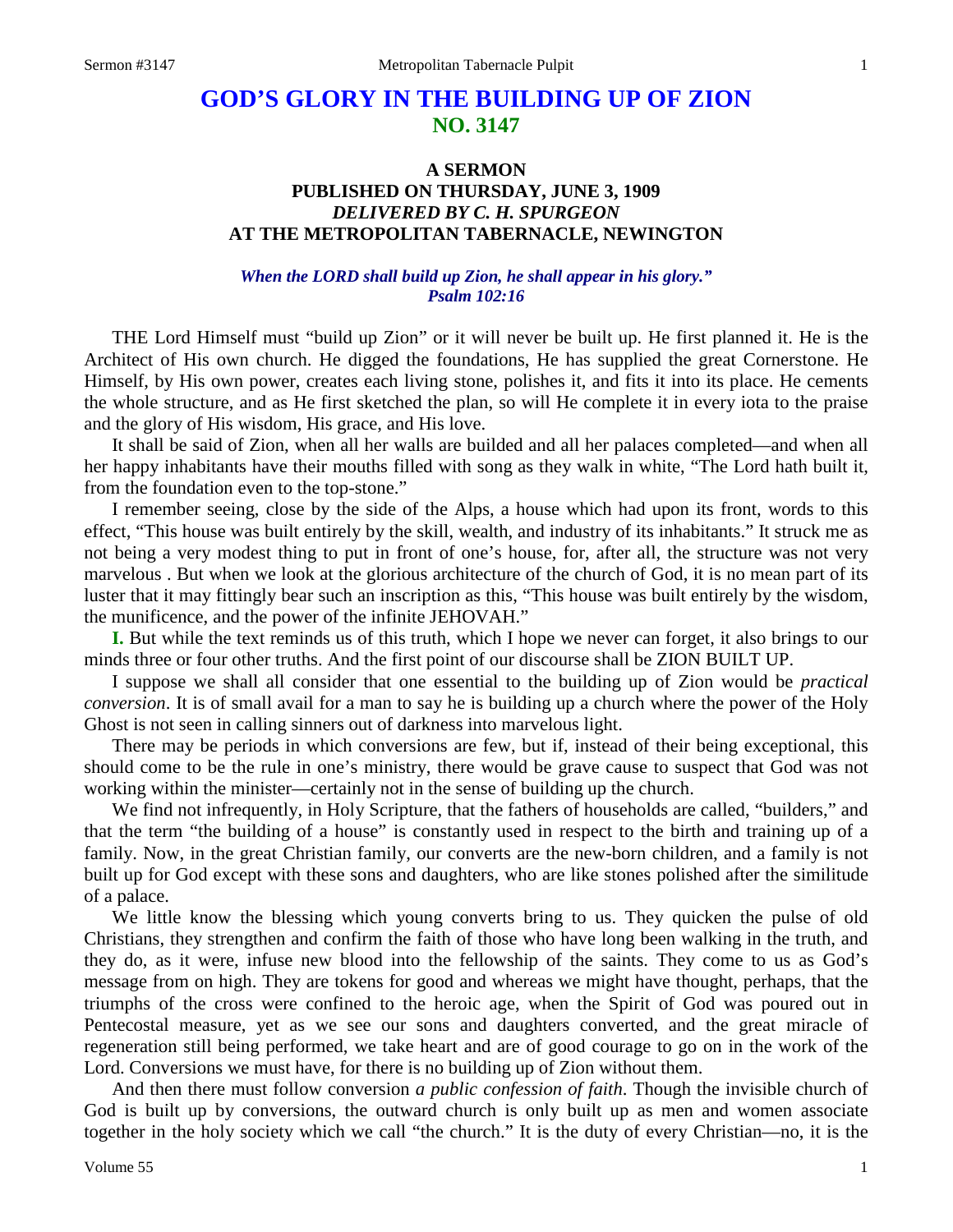# **GOD'S GLORY IN THE BUILDING UP OF ZION NO. 3147**

# **A SERMON PUBLISHED ON THURSDAY, JUNE 3, 1909** *DELIVERED BY C. H. SPURGEON* **AT THE METROPOLITAN TABERNACLE, NEWINGTON**

# *When the LORD shall build up Zion, he shall appear in his glory." Psalm 102:16*

THE Lord Himself must "build up Zion" or it will never be built up. He first planned it. He is the Architect of His own church. He digged the foundations, He has supplied the great Cornerstone. He Himself, by His own power, creates each living stone, polishes it, and fits it into its place. He cements the whole structure, and as He first sketched the plan, so will He complete it in every iota to the praise and the glory of His wisdom, His grace, and His love.

It shall be said of Zion, when all her walls are builded and all her palaces completed—and when all her happy inhabitants have their mouths filled with song as they walk in white, "The Lord hath built it, from the foundation even to the top-stone."

I remember seeing, close by the side of the Alps, a house which had upon its front, words to this effect, "This house was built entirely by the skill, wealth, and industry of its inhabitants." It struck me as not being a very modest thing to put in front of one's house, for, after all, the structure was not very marvelous . But when we look at the glorious architecture of the church of God, it is no mean part of its luster that it may fittingly bear such an inscription as this, "This house was built entirely by the wisdom, the munificence, and the power of the infinite JEHOVAH."

**I.** But while the text reminds us of this truth, which I hope we never can forget, it also brings to our minds three or four other truths. And the first point of our discourse shall be ZION BUILT UP.

I suppose we shall all consider that one essential to the building up of Zion would be *practical conversion*. It is of small avail for a man to say he is building up a church where the power of the Holy Ghost is not seen in calling sinners out of darkness into marvelous light.

There may be periods in which conversions are few, but if, instead of their being exceptional, this should come to be the rule in one's ministry, there would be grave cause to suspect that God was not working within the minister—certainly not in the sense of building up the church.

We find not infrequently, in Holy Scripture, that the fathers of households are called, "builders," and that the term "the building of a house" is constantly used in respect to the birth and training up of a family. Now, in the great Christian family, our converts are the new-born children, and a family is not built up for God except with these sons and daughters, who are like stones polished after the similitude of a palace.

We little know the blessing which young converts bring to us. They quicken the pulse of old Christians, they strengthen and confirm the faith of those who have long been walking in the truth, and they do, as it were, infuse new blood into the fellowship of the saints. They come to us as God's message from on high. They are tokens for good and whereas we might have thought, perhaps, that the triumphs of the cross were confined to the heroic age, when the Spirit of God was poured out in Pentecostal measure, yet as we see our sons and daughters converted, and the great miracle of regeneration still being performed, we take heart and are of good courage to go on in the work of the Lord. Conversions we must have, for there is no building up of Zion without them.

And then there must follow conversion *a public confession of faith*. Though the invisible church of God is built up by conversions, the outward church is only built up as men and women associate together in the holy society which we call "the church." It is the duty of every Christian—no, it is the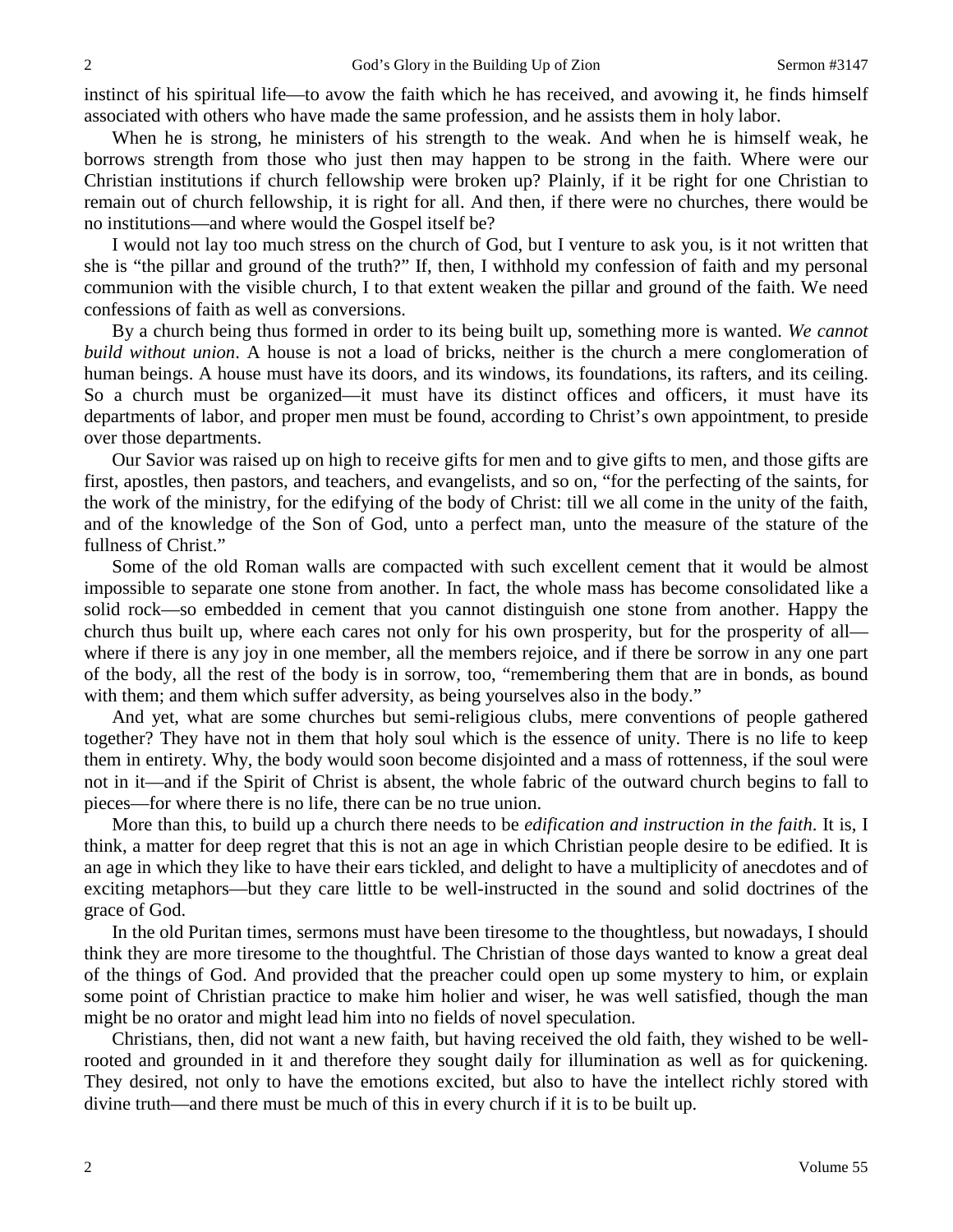instinct of his spiritual life—to avow the faith which he has received, and avowing it, he finds himself associated with others who have made the same profession, and he assists them in holy labor.

When he is strong, he ministers of his strength to the weak. And when he is himself weak, he borrows strength from those who just then may happen to be strong in the faith. Where were our Christian institutions if church fellowship were broken up? Plainly, if it be right for one Christian to remain out of church fellowship, it is right for all. And then, if there were no churches, there would be no institutions—and where would the Gospel itself be?

I would not lay too much stress on the church of God, but I venture to ask you, is it not written that she is "the pillar and ground of the truth?" If, then, I withhold my confession of faith and my personal communion with the visible church, I to that extent weaken the pillar and ground of the faith. We need confessions of faith as well as conversions.

By a church being thus formed in order to its being built up, something more is wanted. *We cannot build without union*. A house is not a load of bricks, neither is the church a mere conglomeration of human beings. A house must have its doors, and its windows, its foundations, its rafters, and its ceiling. So a church must be organized—it must have its distinct offices and officers, it must have its departments of labor, and proper men must be found, according to Christ's own appointment, to preside over those departments.

Our Savior was raised up on high to receive gifts for men and to give gifts to men, and those gifts are first, apostles, then pastors, and teachers, and evangelists, and so on, "for the perfecting of the saints, for the work of the ministry, for the edifying of the body of Christ: till we all come in the unity of the faith, and of the knowledge of the Son of God, unto a perfect man, unto the measure of the stature of the fullness of Christ."

Some of the old Roman walls are compacted with such excellent cement that it would be almost impossible to separate one stone from another. In fact, the whole mass has become consolidated like a solid rock—so embedded in cement that you cannot distinguish one stone from another. Happy the church thus built up, where each cares not only for his own prosperity, but for the prosperity of all where if there is any joy in one member, all the members rejoice, and if there be sorrow in any one part of the body, all the rest of the body is in sorrow, too, "remembering them that are in bonds, as bound with them; and them which suffer adversity, as being yourselves also in the body."

And yet, what are some churches but semi-religious clubs, mere conventions of people gathered together? They have not in them that holy soul which is the essence of unity. There is no life to keep them in entirety. Why, the body would soon become disjointed and a mass of rottenness, if the soul were not in it—and if the Spirit of Christ is absent, the whole fabric of the outward church begins to fall to pieces—for where there is no life, there can be no true union.

More than this, to build up a church there needs to be *edification and instruction in the faith*. It is, I think, a matter for deep regret that this is not an age in which Christian people desire to be edified. It is an age in which they like to have their ears tickled, and delight to have a multiplicity of anecdotes and of exciting metaphors—but they care little to be well-instructed in the sound and solid doctrines of the grace of God.

In the old Puritan times, sermons must have been tiresome to the thoughtless, but nowadays, I should think they are more tiresome to the thoughtful. The Christian of those days wanted to know a great deal of the things of God. And provided that the preacher could open up some mystery to him, or explain some point of Christian practice to make him holier and wiser, he was well satisfied, though the man might be no orator and might lead him into no fields of novel speculation.

Christians, then, did not want a new faith, but having received the old faith, they wished to be wellrooted and grounded in it and therefore they sought daily for illumination as well as for quickening. They desired, not only to have the emotions excited, but also to have the intellect richly stored with divine truth—and there must be much of this in every church if it is to be built up.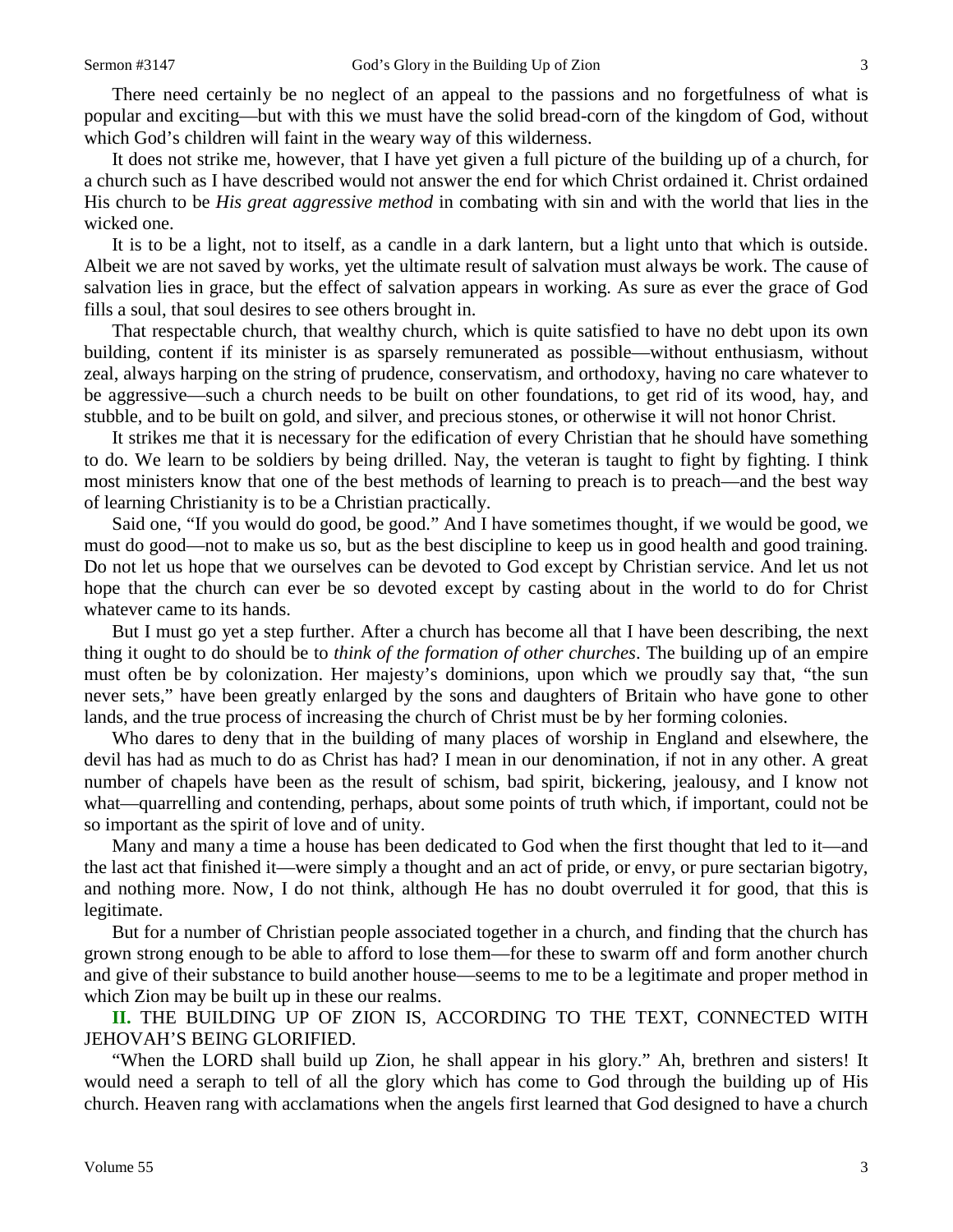There need certainly be no neglect of an appeal to the passions and no forgetfulness of what is popular and exciting—but with this we must have the solid bread-corn of the kingdom of God, without which God's children will faint in the weary way of this wilderness.

It does not strike me, however, that I have yet given a full picture of the building up of a church, for a church such as I have described would not answer the end for which Christ ordained it. Christ ordained His church to be *His great aggressive method* in combating with sin and with the world that lies in the wicked one.

It is to be a light, not to itself, as a candle in a dark lantern, but a light unto that which is outside. Albeit we are not saved by works, yet the ultimate result of salvation must always be work. The cause of salvation lies in grace, but the effect of salvation appears in working. As sure as ever the grace of God fills a soul, that soul desires to see others brought in.

That respectable church, that wealthy church, which is quite satisfied to have no debt upon its own building, content if its minister is as sparsely remunerated as possible—without enthusiasm, without zeal, always harping on the string of prudence, conservatism, and orthodoxy, having no care whatever to be aggressive—such a church needs to be built on other foundations, to get rid of its wood, hay, and stubble, and to be built on gold, and silver, and precious stones, or otherwise it will not honor Christ.

It strikes me that it is necessary for the edification of every Christian that he should have something to do. We learn to be soldiers by being drilled. Nay, the veteran is taught to fight by fighting. I think most ministers know that one of the best methods of learning to preach is to preach—and the best way of learning Christianity is to be a Christian practically.

Said one, "If you would do good, be good." And I have sometimes thought, if we would be good, we must do good—not to make us so, but as the best discipline to keep us in good health and good training. Do not let us hope that we ourselves can be devoted to God except by Christian service. And let us not hope that the church can ever be so devoted except by casting about in the world to do for Christ whatever came to its hands.

But I must go yet a step further. After a church has become all that I have been describing, the next thing it ought to do should be to *think of the formation of other churches*. The building up of an empire must often be by colonization. Her majesty's dominions, upon which we proudly say that, "the sun never sets," have been greatly enlarged by the sons and daughters of Britain who have gone to other lands, and the true process of increasing the church of Christ must be by her forming colonies.

Who dares to deny that in the building of many places of worship in England and elsewhere, the devil has had as much to do as Christ has had? I mean in our denomination, if not in any other. A great number of chapels have been as the result of schism, bad spirit, bickering, jealousy, and I know not what—quarrelling and contending, perhaps, about some points of truth which, if important, could not be so important as the spirit of love and of unity.

Many and many a time a house has been dedicated to God when the first thought that led to it—and the last act that finished it—were simply a thought and an act of pride, or envy, or pure sectarian bigotry, and nothing more. Now, I do not think, although He has no doubt overruled it for good, that this is legitimate.

But for a number of Christian people associated together in a church, and finding that the church has grown strong enough to be able to afford to lose them—for these to swarm off and form another church and give of their substance to build another house—seems to me to be a legitimate and proper method in which Zion may be built up in these our realms.

**II.** THE BUILDING UP OF ZION IS, ACCORDING TO THE TEXT, CONNECTED WITH JEHOVAH'S BEING GLORIFIED.

"When the LORD shall build up Zion, he shall appear in his glory." Ah, brethren and sisters! It would need a seraph to tell of all the glory which has come to God through the building up of His church. Heaven rang with acclamations when the angels first learned that God designed to have a church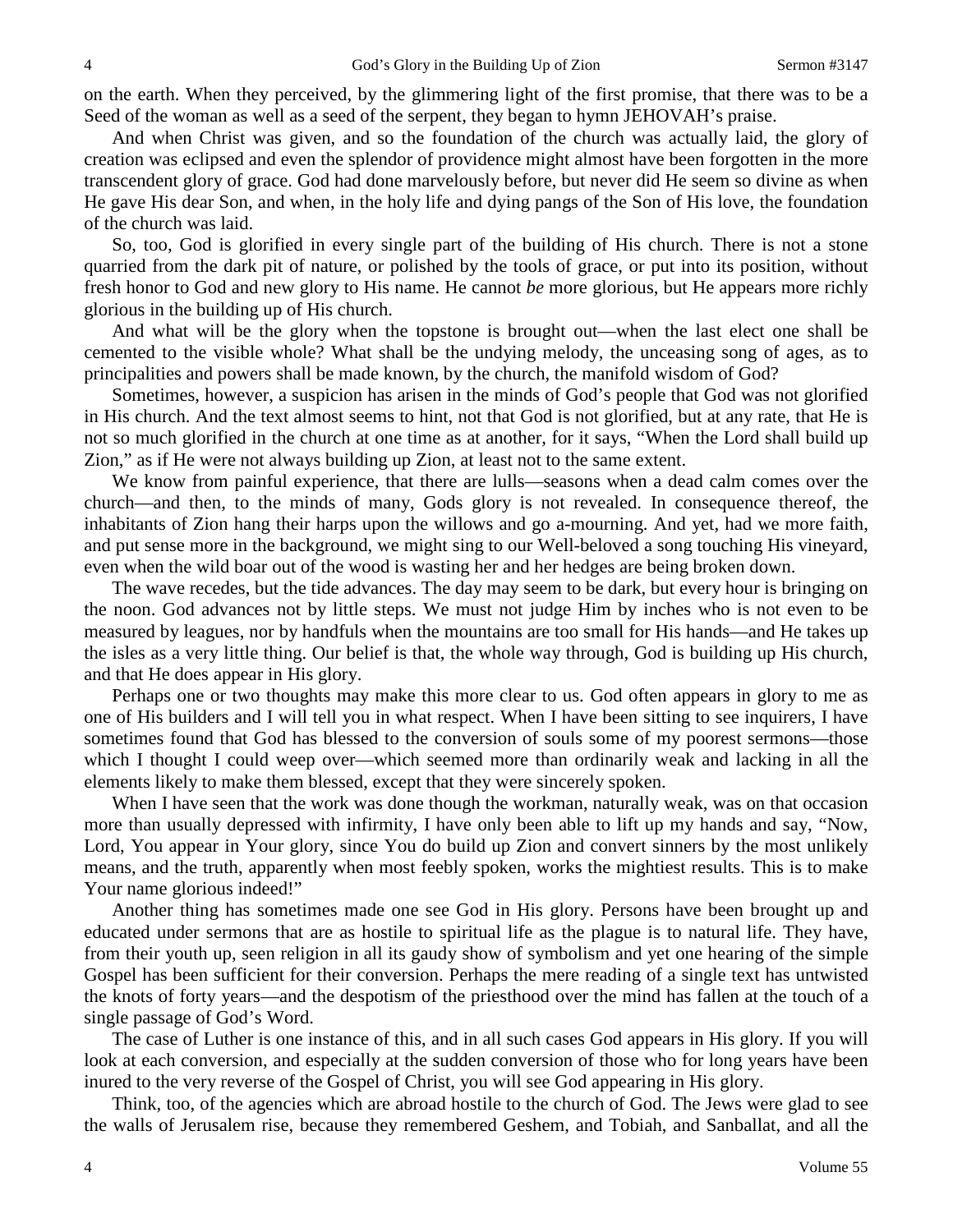on the earth. When they perceived, by the glimmering light of the first promise, that there was to be a Seed of the woman as well as a seed of the serpent, they began to hymn JEHOVAH's praise.

And when Christ was given, and so the foundation of the church was actually laid, the glory of creation was eclipsed and even the splendor of providence might almost have been forgotten in the more transcendent glory of grace. God had done marvelously before, but never did He seem so divine as when He gave His dear Son, and when, in the holy life and dying pangs of the Son of His love, the foundation of the church was laid.

So, too, God is glorified in every single part of the building of His church. There is not a stone quarried from the dark pit of nature, or polished by the tools of grace, or put into its position, without fresh honor to God and new glory to His name. He cannot *be* more glorious, but He appears more richly glorious in the building up of His church.

And what will be the glory when the topstone is brought out—when the last elect one shall be cemented to the visible whole? What shall be the undying melody, the unceasing song of ages, as to principalities and powers shall be made known, by the church, the manifold wisdom of God?

Sometimes, however, a suspicion has arisen in the minds of God's people that God was not glorified in His church. And the text almost seems to hint, not that God is not glorified, but at any rate, that He is not so much glorified in the church at one time as at another, for it says, "When the Lord shall build up Zion," as if He were not always building up Zion, at least not to the same extent.

We know from painful experience, that there are lulls—seasons when a dead calm comes over the church—and then, to the minds of many, Gods glory is not revealed. In consequence thereof, the inhabitants of Zion hang their harps upon the willows and go a-mourning. And yet, had we more faith, and put sense more in the background, we might sing to our Well-beloved a song touching His vineyard, even when the wild boar out of the wood is wasting her and her hedges are being broken down.

The wave recedes, but the tide advances. The day may seem to be dark, but every hour is bringing on the noon. God advances not by little steps. We must not judge Him by inches who is not even to be measured by leagues, nor by handfuls when the mountains are too small for His hands—and He takes up the isles as a very little thing. Our belief is that, the whole way through, God is building up His church, and that He does appear in His glory.

Perhaps one or two thoughts may make this more clear to us. God often appears in glory to me as one of His builders and I will tell you in what respect. When I have been sitting to see inquirers, I have sometimes found that God has blessed to the conversion of souls some of my poorest sermons—those which I thought I could weep over—which seemed more than ordinarily weak and lacking in all the elements likely to make them blessed, except that they were sincerely spoken.

When I have seen that the work was done though the workman, naturally weak, was on that occasion more than usually depressed with infirmity, I have only been able to lift up my hands and say, "Now, Lord, You appear in Your glory, since You do build up Zion and convert sinners by the most unlikely means, and the truth, apparently when most feebly spoken, works the mightiest results. This is to make Your name glorious indeed!"

Another thing has sometimes made one see God in His glory. Persons have been brought up and educated under sermons that are as hostile to spiritual life as the plague is to natural life. They have, from their youth up, seen religion in all its gaudy show of symbolism and yet one hearing of the simple Gospel has been sufficient for their conversion. Perhaps the mere reading of a single text has untwisted the knots of forty years—and the despotism of the priesthood over the mind has fallen at the touch of a single passage of God's Word.

The case of Luther is one instance of this, and in all such cases God appears in His glory. If you will look at each conversion, and especially at the sudden conversion of those who for long years have been inured to the very reverse of the Gospel of Christ, you will see God appearing in His glory.

Think, too, of the agencies which are abroad hostile to the church of God. The Jews were glad to see the walls of Jerusalem rise, because they remembered Geshem, and Tobiah, and Sanballat, and all the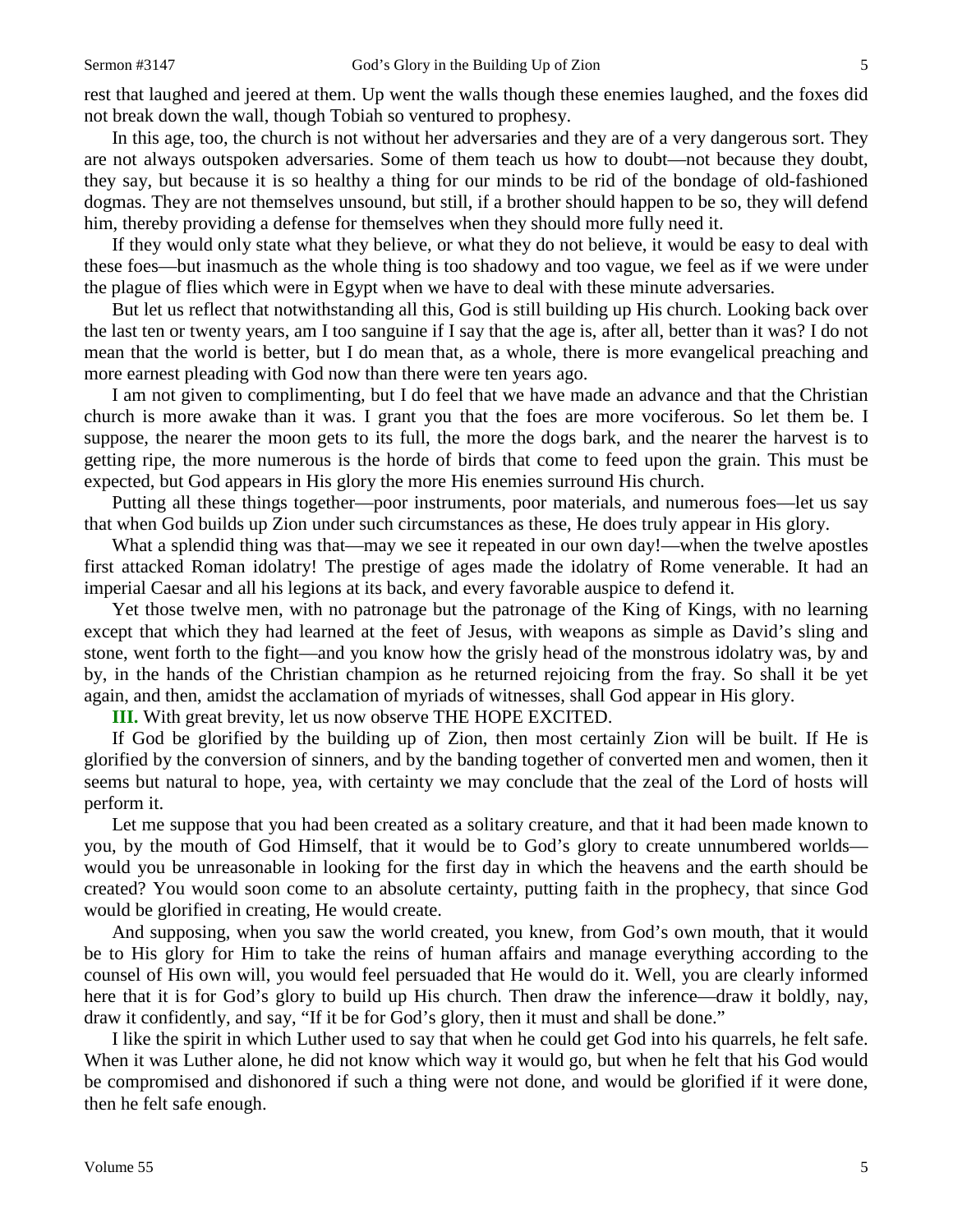rest that laughed and jeered at them. Up went the walls though these enemies laughed, and the foxes did not break down the wall, though Tobiah so ventured to prophesy.

In this age, too, the church is not without her adversaries and they are of a very dangerous sort. They are not always outspoken adversaries. Some of them teach us how to doubt—not because they doubt, they say, but because it is so healthy a thing for our minds to be rid of the bondage of old-fashioned dogmas. They are not themselves unsound, but still, if a brother should happen to be so, they will defend him, thereby providing a defense for themselves when they should more fully need it.

If they would only state what they believe, or what they do not believe, it would be easy to deal with these foes—but inasmuch as the whole thing is too shadowy and too vague, we feel as if we were under the plague of flies which were in Egypt when we have to deal with these minute adversaries.

But let us reflect that notwithstanding all this, God is still building up His church. Looking back over the last ten or twenty years, am I too sanguine if I say that the age is, after all, better than it was? I do not mean that the world is better, but I do mean that, as a whole, there is more evangelical preaching and more earnest pleading with God now than there were ten years ago.

I am not given to complimenting, but I do feel that we have made an advance and that the Christian church is more awake than it was. I grant you that the foes are more vociferous. So let them be. I suppose, the nearer the moon gets to its full, the more the dogs bark, and the nearer the harvest is to getting ripe, the more numerous is the horde of birds that come to feed upon the grain. This must be expected, but God appears in His glory the more His enemies surround His church.

Putting all these things together—poor instruments, poor materials, and numerous foes—let us say that when God builds up Zion under such circumstances as these, He does truly appear in His glory.

What a splendid thing was that—may we see it repeated in our own day!—when the twelve apostles first attacked Roman idolatry! The prestige of ages made the idolatry of Rome venerable. It had an imperial Caesar and all his legions at its back, and every favorable auspice to defend it.

Yet those twelve men, with no patronage but the patronage of the King of Kings, with no learning except that which they had learned at the feet of Jesus, with weapons as simple as David's sling and stone, went forth to the fight—and you know how the grisly head of the monstrous idolatry was, by and by, in the hands of the Christian champion as he returned rejoicing from the fray. So shall it be yet again, and then, amidst the acclamation of myriads of witnesses, shall God appear in His glory.

**III.** With great brevity, let us now observe THE HOPE EXCITED.

If God be glorified by the building up of Zion, then most certainly Zion will be built. If He is glorified by the conversion of sinners, and by the banding together of converted men and women, then it seems but natural to hope, yea, with certainty we may conclude that the zeal of the Lord of hosts will perform it.

Let me suppose that you had been created as a solitary creature, and that it had been made known to you, by the mouth of God Himself, that it would be to God's glory to create unnumbered worlds would you be unreasonable in looking for the first day in which the heavens and the earth should be created? You would soon come to an absolute certainty, putting faith in the prophecy, that since God would be glorified in creating, He would create.

And supposing, when you saw the world created, you knew, from God's own mouth, that it would be to His glory for Him to take the reins of human affairs and manage everything according to the counsel of His own will, you would feel persuaded that He would do it. Well, you are clearly informed here that it is for God's glory to build up His church. Then draw the inference—draw it boldly, nay, draw it confidently, and say, "If it be for God's glory, then it must and shall be done."

I like the spirit in which Luther used to say that when he could get God into his quarrels, he felt safe. When it was Luther alone, he did not know which way it would go, but when he felt that his God would be compromised and dishonored if such a thing were not done, and would be glorified if it were done, then he felt safe enough.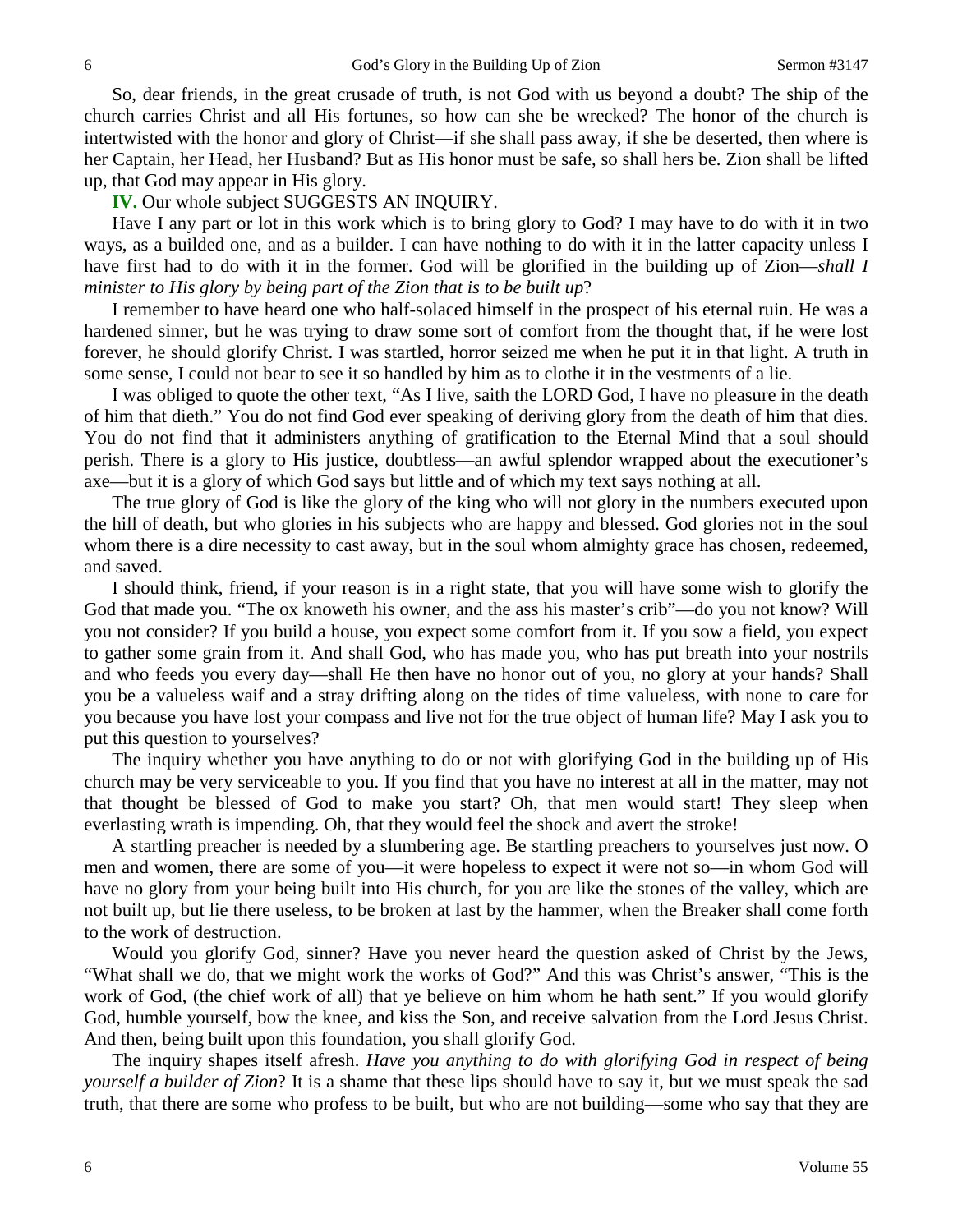So, dear friends, in the great crusade of truth, is not God with us beyond a doubt? The ship of the church carries Christ and all His fortunes, so how can she be wrecked? The honor of the church is intertwisted with the honor and glory of Christ—if she shall pass away, if she be deserted, then where is her Captain, her Head, her Husband? But as His honor must be safe, so shall hers be. Zion shall be lifted up, that God may appear in His glory.

**IV.** Our whole subject SUGGESTS AN INQUIRY.

Have I any part or lot in this work which is to bring glory to God? I may have to do with it in two ways, as a builded one, and as a builder. I can have nothing to do with it in the latter capacity unless I have first had to do with it in the former. God will be glorified in the building up of Zion—*shall I minister to His glory by being part of the Zion that is to be built up*?

I remember to have heard one who half-solaced himself in the prospect of his eternal ruin. He was a hardened sinner, but he was trying to draw some sort of comfort from the thought that, if he were lost forever, he should glorify Christ. I was startled, horror seized me when he put it in that light. A truth in some sense, I could not bear to see it so handled by him as to clothe it in the vestments of a lie.

I was obliged to quote the other text, "As I live, saith the LORD God, I have no pleasure in the death of him that dieth." You do not find God ever speaking of deriving glory from the death of him that dies. You do not find that it administers anything of gratification to the Eternal Mind that a soul should perish. There is a glory to His justice, doubtless—an awful splendor wrapped about the executioner's axe—but it is a glory of which God says but little and of which my text says nothing at all.

The true glory of God is like the glory of the king who will not glory in the numbers executed upon the hill of death, but who glories in his subjects who are happy and blessed. God glories not in the soul whom there is a dire necessity to cast away, but in the soul whom almighty grace has chosen, redeemed, and saved.

I should think, friend, if your reason is in a right state, that you will have some wish to glorify the God that made you. "The ox knoweth his owner, and the ass his master's crib"—do you not know? Will you not consider? If you build a house, you expect some comfort from it. If you sow a field, you expect to gather some grain from it. And shall God, who has made you, who has put breath into your nostrils and who feeds you every day—shall He then have no honor out of you, no glory at your hands? Shall you be a valueless waif and a stray drifting along on the tides of time valueless, with none to care for you because you have lost your compass and live not for the true object of human life? May I ask you to put this question to yourselves?

The inquiry whether you have anything to do or not with glorifying God in the building up of His church may be very serviceable to you. If you find that you have no interest at all in the matter, may not that thought be blessed of God to make you start? Oh, that men would start! They sleep when everlasting wrath is impending. Oh, that they would feel the shock and avert the stroke!

A startling preacher is needed by a slumbering age. Be startling preachers to yourselves just now. O men and women, there are some of you—it were hopeless to expect it were not so—in whom God will have no glory from your being built into His church, for you are like the stones of the valley, which are not built up, but lie there useless, to be broken at last by the hammer, when the Breaker shall come forth to the work of destruction.

Would you glorify God, sinner? Have you never heard the question asked of Christ by the Jews, "What shall we do, that we might work the works of God?" And this was Christ's answer, "This is the work of God, (the chief work of all) that ye believe on him whom he hath sent." If you would glorify God, humble yourself, bow the knee, and kiss the Son, and receive salvation from the Lord Jesus Christ. And then, being built upon this foundation, you shall glorify God.

The inquiry shapes itself afresh. *Have you anything to do with glorifying God in respect of being yourself a builder of Zion*? It is a shame that these lips should have to say it, but we must speak the sad truth, that there are some who profess to be built, but who are not building—some who say that they are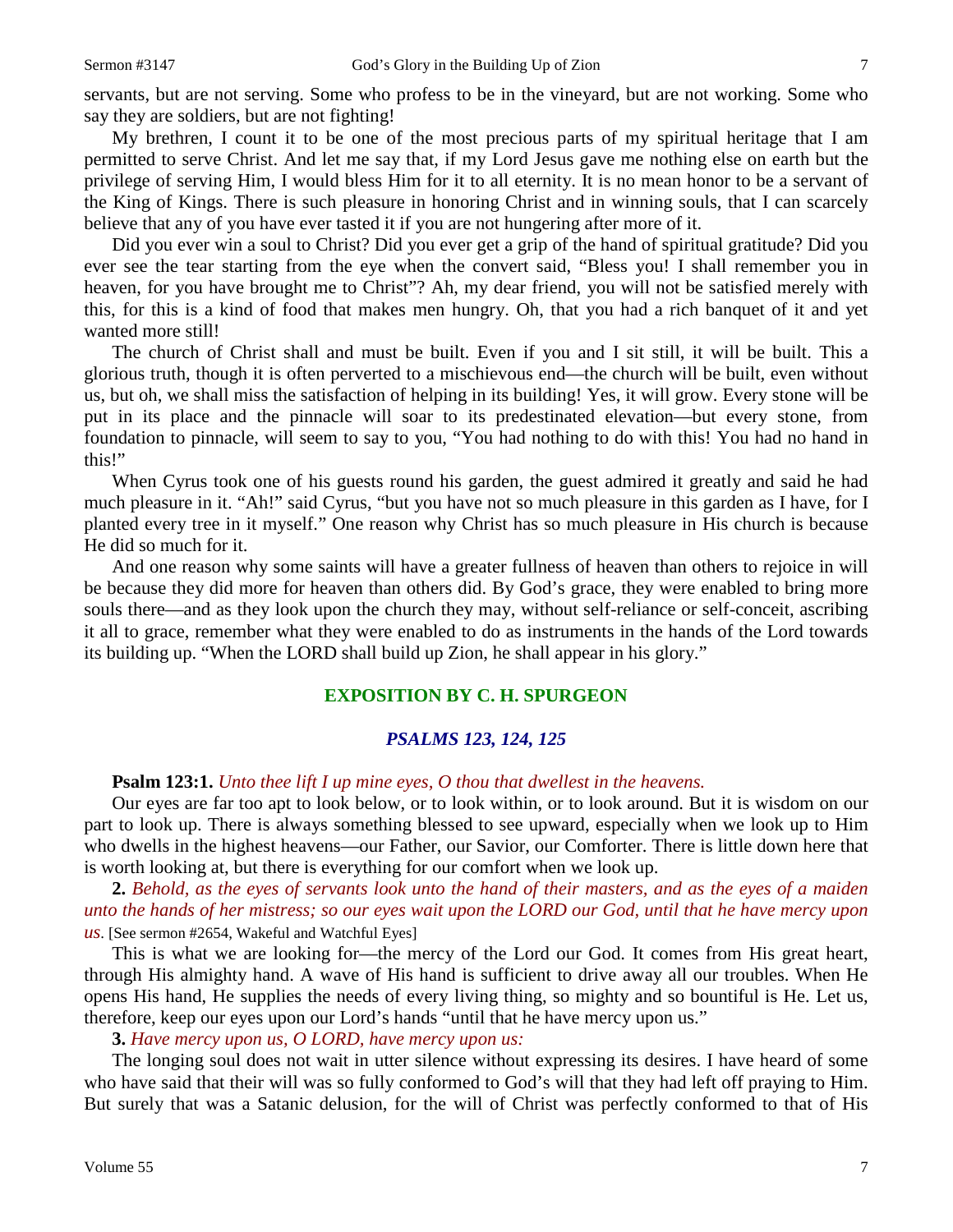servants, but are not serving. Some who profess to be in the vineyard, but are not working. Some who say they are soldiers, but are not fighting!

My brethren, I count it to be one of the most precious parts of my spiritual heritage that I am permitted to serve Christ. And let me say that, if my Lord Jesus gave me nothing else on earth but the privilege of serving Him, I would bless Him for it to all eternity. It is no mean honor to be a servant of the King of Kings. There is such pleasure in honoring Christ and in winning souls, that I can scarcely believe that any of you have ever tasted it if you are not hungering after more of it.

Did you ever win a soul to Christ? Did you ever get a grip of the hand of spiritual gratitude? Did you ever see the tear starting from the eye when the convert said, "Bless you! I shall remember you in heaven, for you have brought me to Christ"? Ah, my dear friend, you will not be satisfied merely with this, for this is a kind of food that makes men hungry. Oh, that you had a rich banquet of it and yet wanted more still!

The church of Christ shall and must be built. Even if you and I sit still, it will be built. This a glorious truth, though it is often perverted to a mischievous end—the church will be built, even without us, but oh, we shall miss the satisfaction of helping in its building! Yes, it will grow. Every stone will be put in its place and the pinnacle will soar to its predestinated elevation—but every stone, from foundation to pinnacle, will seem to say to you, "You had nothing to do with this! You had no hand in this!"

When Cyrus took one of his guests round his garden, the guest admired it greatly and said he had much pleasure in it. "Ah!" said Cyrus, "but you have not so much pleasure in this garden as I have, for I planted every tree in it myself." One reason why Christ has so much pleasure in His church is because He did so much for it.

And one reason why some saints will have a greater fullness of heaven than others to rejoice in will be because they did more for heaven than others did. By God's grace, they were enabled to bring more souls there—and as they look upon the church they may, without self-reliance or self-conceit, ascribing it all to grace, remember what they were enabled to do as instruments in the hands of the Lord towards its building up. "When the LORD shall build up Zion, he shall appear in his glory."

# **EXPOSITION BY C. H. SPURGEON**

#### *PSALMS 123, 124, 125*

#### **Psalm 123:1.** *Unto thee lift I up mine eyes, O thou that dwellest in the heavens.*

Our eyes are far too apt to look below, or to look within, or to look around. But it is wisdom on our part to look up. There is always something blessed to see upward, especially when we look up to Him who dwells in the highest heavens—our Father, our Savior, our Comforter. There is little down here that is worth looking at, but there is everything for our comfort when we look up.

**2.** *Behold, as the eyes of servants look unto the hand of their masters, and as the eyes of a maiden unto the hands of her mistress; so our eyes wait upon the LORD our God, until that he have mercy upon us*. [See sermon #2654, Wakeful and Watchful Eyes]

This is what we are looking for—the mercy of the Lord our God. It comes from His great heart, through His almighty hand. A wave of His hand is sufficient to drive away all our troubles. When He opens His hand, He supplies the needs of every living thing, so mighty and so bountiful is He. Let us, therefore, keep our eyes upon our Lord's hands "until that he have mercy upon us."

#### **3.** *Have mercy upon us, O LORD, have mercy upon us:*

The longing soul does not wait in utter silence without expressing its desires. I have heard of some who have said that their will was so fully conformed to God's will that they had left off praying to Him. But surely that was a Satanic delusion, for the will of Christ was perfectly conformed to that of His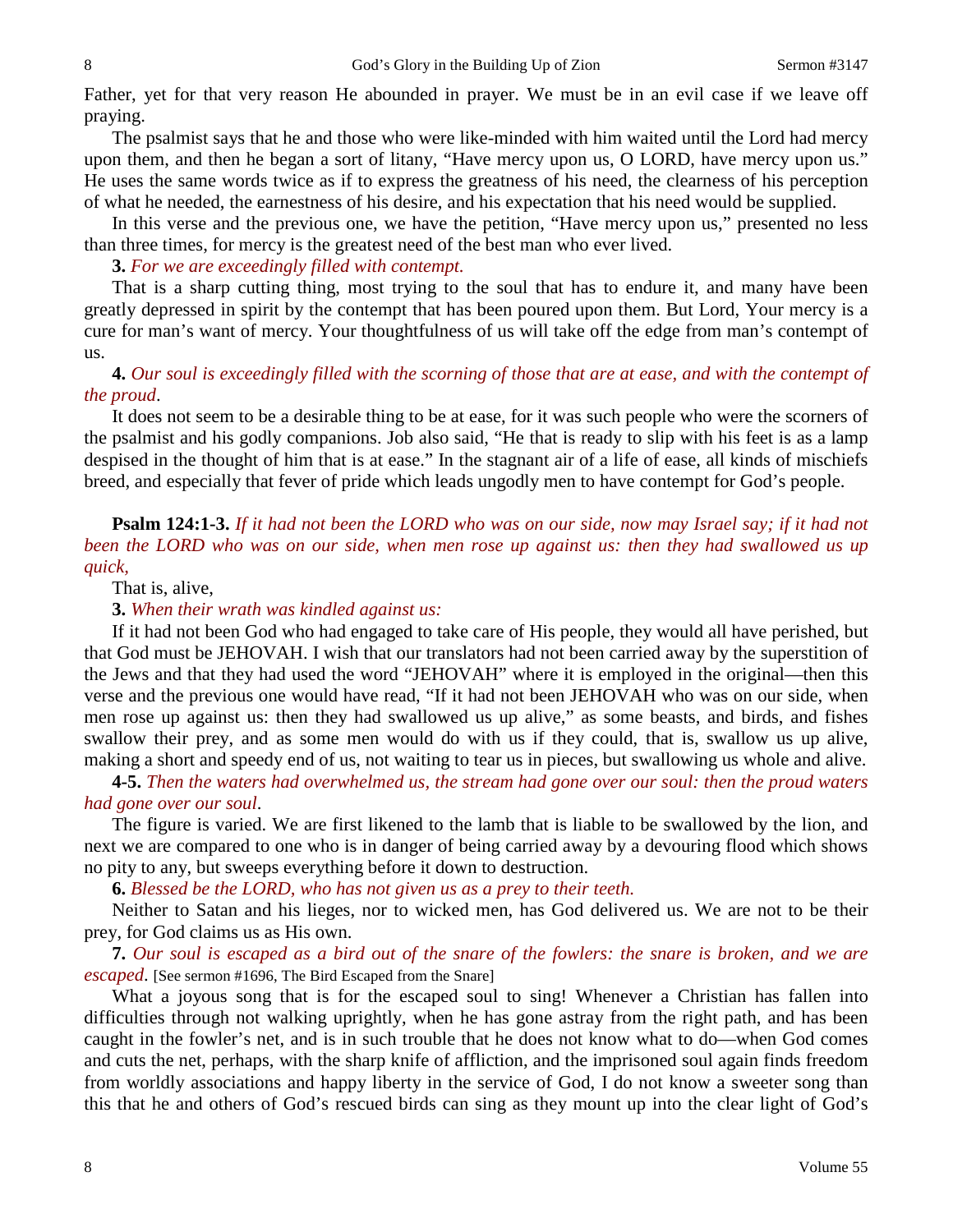Father, yet for that very reason He abounded in prayer. We must be in an evil case if we leave off praying.

The psalmist says that he and those who were like-minded with him waited until the Lord had mercy upon them, and then he began a sort of litany, "Have mercy upon us, O LORD, have mercy upon us." He uses the same words twice as if to express the greatness of his need, the clearness of his perception of what he needed, the earnestness of his desire, and his expectation that his need would be supplied.

In this verse and the previous one, we have the petition, "Have mercy upon us," presented no less than three times, for mercy is the greatest need of the best man who ever lived.

**3.** *For we are exceedingly filled with contempt.*

That is a sharp cutting thing, most trying to the soul that has to endure it, and many have been greatly depressed in spirit by the contempt that has been poured upon them. But Lord, Your mercy is a cure for man's want of mercy. Your thoughtfulness of us will take off the edge from man's contempt of us.

# **4.** *Our soul is exceedingly filled with the scorning of those that are at ease, and with the contempt of the proud*.

It does not seem to be a desirable thing to be at ease, for it was such people who were the scorners of the psalmist and his godly companions. Job also said, "He that is ready to slip with his feet is as a lamp despised in the thought of him that is at ease." In the stagnant air of a life of ease, all kinds of mischiefs breed, and especially that fever of pride which leads ungodly men to have contempt for God's people.

**Psalm 124:1-3.** *If it had not been the LORD who was on our side, now may Israel say; if it had not*  been the LORD who was on our side, when men rose up against us: then they had swallowed us up *quick,*

That is, alive,

**3.** *When their wrath was kindled against us:*

If it had not been God who had engaged to take care of His people, they would all have perished, but that God must be JEHOVAH. I wish that our translators had not been carried away by the superstition of the Jews and that they had used the word "JEHOVAH" where it is employed in the original—then this verse and the previous one would have read, "If it had not been JEHOVAH who was on our side, when men rose up against us: then they had swallowed us up alive," as some beasts, and birds, and fishes swallow their prey, and as some men would do with us if they could, that is, swallow us up alive, making a short and speedy end of us, not waiting to tear us in pieces, but swallowing us whole and alive.

**4-5.** *Then the waters had overwhelmed us, the stream had gone over our soul: then the proud waters had gone over our soul*.

The figure is varied. We are first likened to the lamb that is liable to be swallowed by the lion, and next we are compared to one who is in danger of being carried away by a devouring flood which shows no pity to any, but sweeps everything before it down to destruction.

**6.** *Blessed be the LORD, who has not given us as a prey to their teeth.*

Neither to Satan and his lieges, nor to wicked men, has God delivered us. We are not to be their prey, for God claims us as His own.

**7.** *Our soul is escaped as a bird out of the snare of the fowlers: the snare is broken, and we are escaped*. [See sermon #1696, The Bird Escaped from the Snare]

What a joyous song that is for the escaped soul to sing! Whenever a Christian has fallen into difficulties through not walking uprightly, when he has gone astray from the right path, and has been caught in the fowler's net, and is in such trouble that he does not know what to do—when God comes and cuts the net, perhaps, with the sharp knife of affliction, and the imprisoned soul again finds freedom from worldly associations and happy liberty in the service of God, I do not know a sweeter song than this that he and others of God's rescued birds can sing as they mount up into the clear light of God's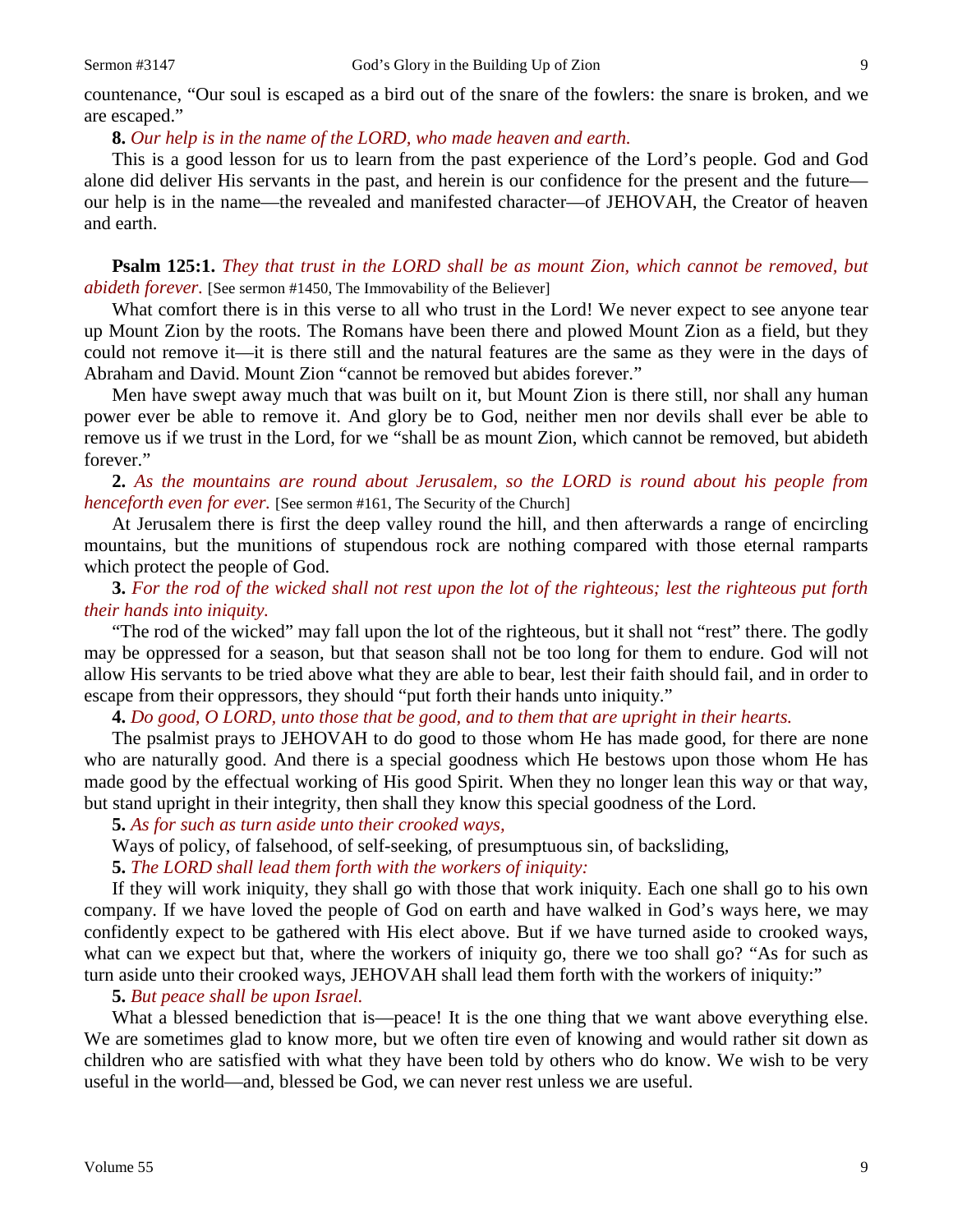countenance, "Our soul is escaped as a bird out of the snare of the fowlers: the snare is broken, and we are escaped."

# **8.** *Our help is in the name of the LORD, who made heaven and earth.*

This is a good lesson for us to learn from the past experience of the Lord's people. God and God alone did deliver His servants in the past, and herein is our confidence for the present and the future our help is in the name—the revealed and manifested character—of JEHOVAH, the Creator of heaven and earth.

**Psalm 125:1.** *They that trust in the LORD shall be as mount Zion, which cannot be removed, but abideth forever.* [See sermon #1450, The Immovability of the Believer]

What comfort there is in this verse to all who trust in the Lord! We never expect to see anyone tear up Mount Zion by the roots. The Romans have been there and plowed Mount Zion as a field, but they could not remove it—it is there still and the natural features are the same as they were in the days of Abraham and David. Mount Zion "cannot be removed but abides forever."

Men have swept away much that was built on it, but Mount Zion is there still, nor shall any human power ever be able to remove it. And glory be to God, neither men nor devils shall ever be able to remove us if we trust in the Lord, for we "shall be as mount Zion, which cannot be removed, but abideth forever."

**2.** *As the mountains are round about Jerusalem, so the LORD is round about his people from henceforth even for ever.* [See sermon #161, The Security of the Church]

At Jerusalem there is first the deep valley round the hill, and then afterwards a range of encircling mountains, but the munitions of stupendous rock are nothing compared with those eternal ramparts which protect the people of God.

**3.** *For the rod of the wicked shall not rest upon the lot of the righteous; lest the righteous put forth their hands into iniquity.*

"The rod of the wicked" may fall upon the lot of the righteous, but it shall not "rest" there. The godly may be oppressed for a season, but that season shall not be too long for them to endure. God will not allow His servants to be tried above what they are able to bear, lest their faith should fail, and in order to escape from their oppressors, they should "put forth their hands unto iniquity."

**4.** *Do good, O LORD, unto those that be good, and to them that are upright in their hearts.*

The psalmist prays to JEHOVAH to do good to those whom He has made good, for there are none who are naturally good. And there is a special goodness which He bestows upon those whom He has made good by the effectual working of His good Spirit. When they no longer lean this way or that way, but stand upright in their integrity, then shall they know this special goodness of the Lord.

**5.** *As for such as turn aside unto their crooked ways,*

Ways of policy, of falsehood, of self-seeking, of presumptuous sin, of backsliding,

**5.** *The LORD shall lead them forth with the workers of iniquity:*

If they will work iniquity, they shall go with those that work iniquity. Each one shall go to his own company. If we have loved the people of God on earth and have walked in God's ways here, we may confidently expect to be gathered with His elect above. But if we have turned aside to crooked ways, what can we expect but that, where the workers of iniquity go, there we too shall go? "As for such as turn aside unto their crooked ways, JEHOVAH shall lead them forth with the workers of iniquity:"

**5.** *But peace shall be upon Israel.*

What a blessed benediction that is—peace! It is the one thing that we want above everything else. We are sometimes glad to know more, but we often tire even of knowing and would rather sit down as children who are satisfied with what they have been told by others who do know. We wish to be very useful in the world—and, blessed be God, we can never rest unless we are useful.